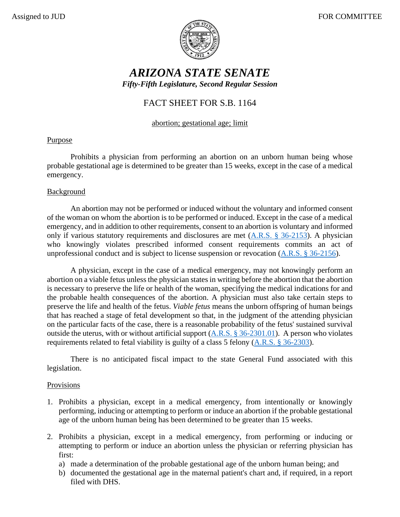

# *ARIZONA STATE SENATE Fifty-Fifth Legislature, Second Regular Session*

## FACT SHEET FOR S.B. 1164

### abortion; gestational age; limit

## Purpose

Prohibits a physician from performing an abortion on an unborn human being whose probable gestational age is determined to be greater than 15 weeks, except in the case of a medical emergency.

#### **Background**

An abortion may not be performed or induced without the voluntary and informed consent of the woman on whom the abortion is to be performed or induced. Except in the case of a medical emergency, and in addition to other requirements, consent to an abortion is voluntary and informed only if various statutory requirements and disclosures are met [\(A.R.S. § 36-2153\)](https://www.azleg.gov/viewdocument/?docName=https://www.azleg.gov/ars/36/02153.htm). A physician who knowingly violates prescribed informed consent requirements commits an act of unprofessional conduct and is subject to license suspension or revocation [\(A.R.S. § 36-2156\)](https://www.azleg.gov/viewdocument/?docName=https://www.azleg.gov/ars/36/02156.htm).

A physician, except in the case of a medical emergency, may not knowingly perform an abortion on a viable fetus unless the physician states in writing before the abortion that the abortion is necessary to preserve the life or health of the woman, specifying the medical indications for and the probable health consequences of the abortion. A physician must also take certain steps to preserve the life and health of the fetus. *Viable fetus* means the unborn offspring of human beings that has reached a stage of fetal development so that, in the judgment of the attending physician on the particular facts of the case, there is a reasonable probability of the fetus' sustained survival outside the uterus, with or without artificial support [\(A.R.S. § 36-2301.01\)](https://www.azleg.gov/viewdocument/?docName=https://www.azleg.gov/ars/36/02301-01.htm). A person who violates requirements related to fetal viability is guilty of a class 5 felony [\(A.R.S. § 36-2303\)](https://www.azleg.gov/viewdocument/?docName=https://www.azleg.gov/ars/36/02303.htm).

There is no anticipated fiscal impact to the state General Fund associated with this legislation.

#### **Provisions**

- 1. Prohibits a physician, except in a medical emergency, from intentionally or knowingly performing, inducing or attempting to perform or induce an abortion if the probable gestational age of the unborn human being has been determined to be greater than 15 weeks.
- 2. Prohibits a physician, except in a medical emergency, from performing or inducing or attempting to perform or induce an abortion unless the physician or referring physician has first:
	- a) made a determination of the probable gestational age of the unborn human being; and
	- b) documented the gestational age in the maternal patient's chart and, if required, in a report filed with DHS.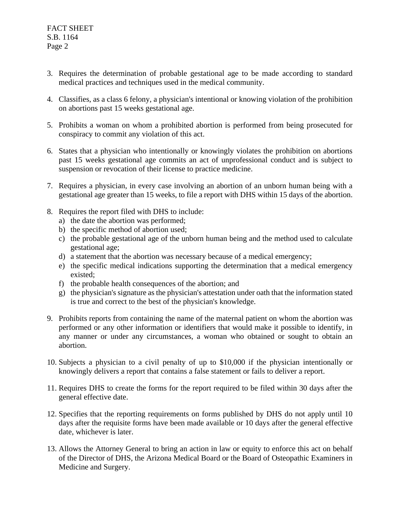- 3. Requires the determination of probable gestational age to be made according to standard medical practices and techniques used in the medical community.
- 4. Classifies, as a class 6 felony, a physician's intentional or knowing violation of the prohibition on abortions past 15 weeks gestational age.
- 5. Prohibits a woman on whom a prohibited abortion is performed from being prosecuted for conspiracy to commit any violation of this act.
- 6. States that a physician who intentionally or knowingly violates the prohibition on abortions past 15 weeks gestational age commits an act of unprofessional conduct and is subject to suspension or revocation of their license to practice medicine.
- 7. Requires a physician, in every case involving an abortion of an unborn human being with a gestational age greater than 15 weeks, to file a report with DHS within 15 days of the abortion.
- 8. Requires the report filed with DHS to include:
	- a) the date the abortion was performed;
	- b) the specific method of abortion used;
	- c) the probable gestational age of the unborn human being and the method used to calculate gestational age;
	- d) a statement that the abortion was necessary because of a medical emergency;
	- e) the specific medical indications supporting the determination that a medical emergency existed;
	- f) the probable health consequences of the abortion; and
	- g) the physician's signature as the physician's attestation under oath that the information stated is true and correct to the best of the physician's knowledge.
- 9. Prohibits reports from containing the name of the maternal patient on whom the abortion was performed or any other information or identifiers that would make it possible to identify, in any manner or under any circumstances, a woman who obtained or sought to obtain an abortion.
- 10. Subjects a physician to a civil penalty of up to \$10,000 if the physician intentionally or knowingly delivers a report that contains a false statement or fails to deliver a report.
- 11. Requires DHS to create the forms for the report required to be filed within 30 days after the general effective date.
- 12. Specifies that the reporting requirements on forms published by DHS do not apply until 10 days after the requisite forms have been made available or 10 days after the general effective date, whichever is later.
- 13. Allows the Attorney General to bring an action in law or equity to enforce this act on behalf of the Director of DHS, the Arizona Medical Board or the Board of Osteopathic Examiners in Medicine and Surgery.